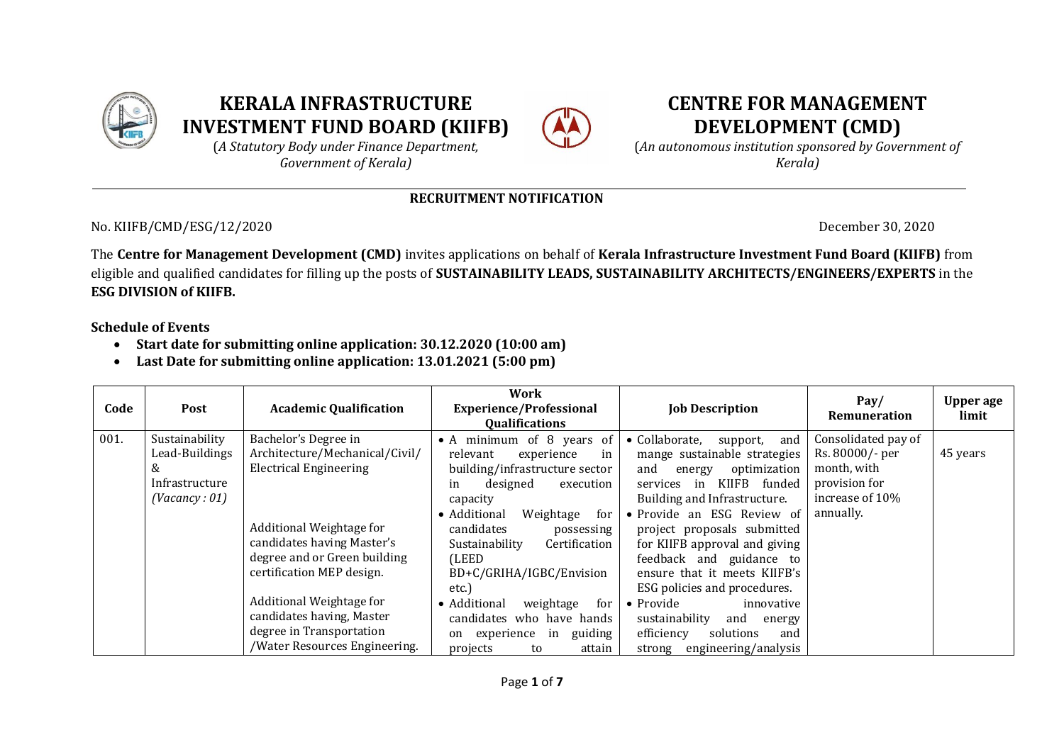

# **KERALA INFRASTRUCTURE INVESTMENT FUND BOARD (KIIFB)**



# **CENTRE FOR MANAGEMENT DEVELOPMENT (CMD)**

(*A Statutory Body under Finance Department, Government of Kerala)*

(*An autonomous institution sponsored by Government of Kerala)*

### **RECRUITMENT NOTIFICATION**

No. KIIFB/CMD/ESG/12/2020 December 30, 2020

The **Centre for Management Development (CMD)** invites applications on behalf of **Kerala Infrastructure Investment Fund Board (KIIFB)** from eligible and qualified candidates for filling up the posts of **SUSTAINABILITY LEADS, SUSTAINABILITY ARCHITECTS/ENGINEERS/EXPERTS** in the **ESG DIVISION of KIIFB.**

**Schedule of Events**

- **Start date for submitting online application: 30.12.2020 (10:00 am)**
- **Last Date for submitting online application: 13.01.2021 (5:00 pm)**

| Code | Post                                                                     | <b>Academic Qualification</b>                                                                                                                                                                                                                                                                                                        | Work<br><b>Experience/Professional</b><br><b>Qualifications</b>                                                                                                                                                                                                                                                                                                                                                           | <b>Job Description</b>                                                                                                                                                                                                                                                                                                                                                                                                                                                                                              | Pay/<br>Remuneration                                                                                   | Upper age<br>limit |
|------|--------------------------------------------------------------------------|--------------------------------------------------------------------------------------------------------------------------------------------------------------------------------------------------------------------------------------------------------------------------------------------------------------------------------------|---------------------------------------------------------------------------------------------------------------------------------------------------------------------------------------------------------------------------------------------------------------------------------------------------------------------------------------------------------------------------------------------------------------------------|---------------------------------------------------------------------------------------------------------------------------------------------------------------------------------------------------------------------------------------------------------------------------------------------------------------------------------------------------------------------------------------------------------------------------------------------------------------------------------------------------------------------|--------------------------------------------------------------------------------------------------------|--------------------|
| 001. | Sustainability<br>Lead-Buildings<br>&<br>Infrastructure<br>(Vacancy: 01) | Bachelor's Degree in<br>Architecture/Mechanical/Civil/<br><b>Electrical Engineering</b><br>Additional Weightage for<br>candidates having Master's<br>degree and or Green building<br>certification MEP design.<br>Additional Weightage for<br>candidates having, Master<br>degree in Transportation<br>/Water Resources Engineering. | • A minimum of 8 years of<br>relevant<br>experience<br>in<br>building/infrastructure sector<br>designed<br>execution<br>in<br>capacity<br>• Additional<br>Weightage<br>for<br>candidates<br>possessing<br>Certification<br>Sustainability<br>(LEED<br>BD+C/GRIHA/IGBC/Envision<br>etc.)<br>• Additional<br>weightage<br>for<br>candidates who have hands<br>guiding<br>in<br>experience<br>on<br>projects<br>attain<br>to | Collaborate,<br>and<br>support,<br>$\bullet$<br>mange sustainable strategies<br>and<br>optimization<br>energy<br>KIIFB funded<br>services<br>in<br>Building and Infrastructure.<br>• Provide an ESG Review of<br>project proposals submitted<br>for KIIFB approval and giving<br>feedback and guidance to<br>ensure that it meets KIIFB's<br>ESG policies and procedures.<br>$\bullet$ Provide<br>innovative<br>sustainability<br>and<br>energy<br>efficiency<br>solutions<br>and<br>engineering/analysis<br>strong | Consolidated pay of<br>Rs. 80000/- per<br>month, with<br>provision for<br>increase of 10%<br>annually. | 45 years           |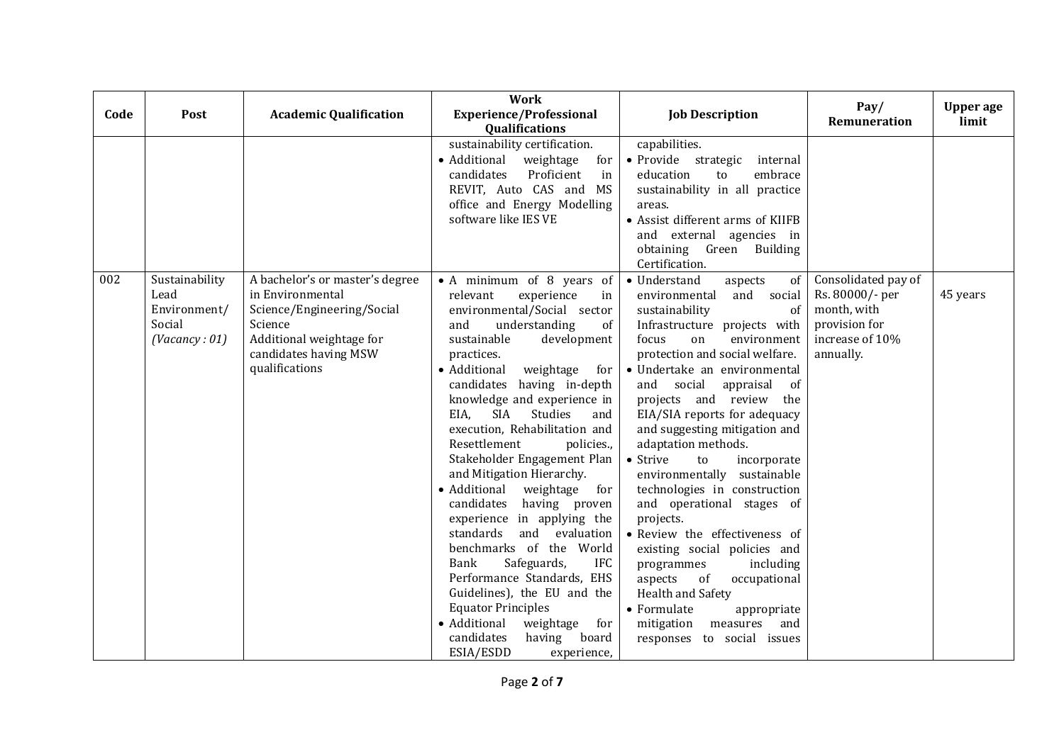| Code | Post                                                              | <b>Academic Qualification</b>                                                                                                                                       | <b>Work</b><br><b>Experience/Professional</b><br>Qualifications                                                                                                                                                                                                                                                                                                                                                                                                                                                                                                                                                                                                                                                                                                                                                     | <b>Job Description</b>                                                                                                                                                                                                                                                                                                                                                                                                                                                                                                                                                                                                                                                                                                                                            | Pay/<br>Remuneration                                                                                   | <b>Upper</b> age<br>limit |
|------|-------------------------------------------------------------------|---------------------------------------------------------------------------------------------------------------------------------------------------------------------|---------------------------------------------------------------------------------------------------------------------------------------------------------------------------------------------------------------------------------------------------------------------------------------------------------------------------------------------------------------------------------------------------------------------------------------------------------------------------------------------------------------------------------------------------------------------------------------------------------------------------------------------------------------------------------------------------------------------------------------------------------------------------------------------------------------------|-------------------------------------------------------------------------------------------------------------------------------------------------------------------------------------------------------------------------------------------------------------------------------------------------------------------------------------------------------------------------------------------------------------------------------------------------------------------------------------------------------------------------------------------------------------------------------------------------------------------------------------------------------------------------------------------------------------------------------------------------------------------|--------------------------------------------------------------------------------------------------------|---------------------------|
|      |                                                                   |                                                                                                                                                                     | sustainability certification.<br>• Additional<br>weightage<br>for<br>candidates<br>Proficient<br>in<br>REVIT, Auto CAS and MS<br>office and Energy Modelling<br>software like IES VE                                                                                                                                                                                                                                                                                                                                                                                                                                                                                                                                                                                                                                | capabilities.<br>· Provide strategic<br>internal<br>embrace<br>education<br>to<br>sustainability in all practice<br>areas.<br>• Assist different arms of KIIFB<br>and external agencies in<br>obtaining Green Building<br>Certification.                                                                                                                                                                                                                                                                                                                                                                                                                                                                                                                          |                                                                                                        |                           |
| 002  | Sustainability<br>Lead<br>Environment/<br>Social<br>(Vacancy: 01) | A bachelor's or master's degree<br>in Environmental<br>Science/Engineering/Social<br>Science<br>Additional weightage for<br>candidates having MSW<br>qualifications | • A minimum of 8 years of<br>relevant<br>experience<br>in<br>environmental/Social sector<br>and<br>understanding<br>of<br>sustainable<br>development<br>practices.<br>• Additional<br>weightage<br>for<br>candidates having in-depth<br>knowledge and experience in<br>EIA,<br>SIA<br>Studies<br>and<br>execution, Rehabilitation and<br>Resettlement<br>policies.,<br>Stakeholder Engagement Plan<br>and Mitigation Hierarchy.<br>• Additional<br>weightage<br>for<br>candidates<br>having proven<br>experience in applying the<br>standards<br>and evaluation<br>benchmarks of the World<br>Bank<br>Safeguards,<br>IFC<br>Performance Standards, EHS<br>Guidelines), the EU and the<br><b>Equator Principles</b><br>• Additional<br>weightage<br>for<br>candidates<br>having<br>board<br>ESIA/ESDD<br>experience, | • Understand<br>aspects<br>of<br>and social<br>environmental<br>sustainability<br>of<br>Infrastructure projects with<br>environment<br>focus<br>on<br>protection and social welfare.<br>· Undertake an environmental<br>and social<br>of<br>appraisal<br>projects and review the<br>EIA/SIA reports for adequacy<br>and suggesting mitigation and<br>adaptation methods.<br>• Strive<br>to<br>incorporate<br>environmentally sustainable<br>technologies in construction<br>and operational stages of<br>projects.<br>· Review the effectiveness of<br>existing social policies and<br>programmes<br>including<br>aspects<br>of<br>occupational<br>Health and Safety<br>• Formulate<br>appropriate<br>mitigation<br>measures<br>and<br>responses to social issues | Consolidated pay of<br>Rs. 80000/- per<br>month, with<br>provision for<br>increase of 10%<br>annually. | 45 years                  |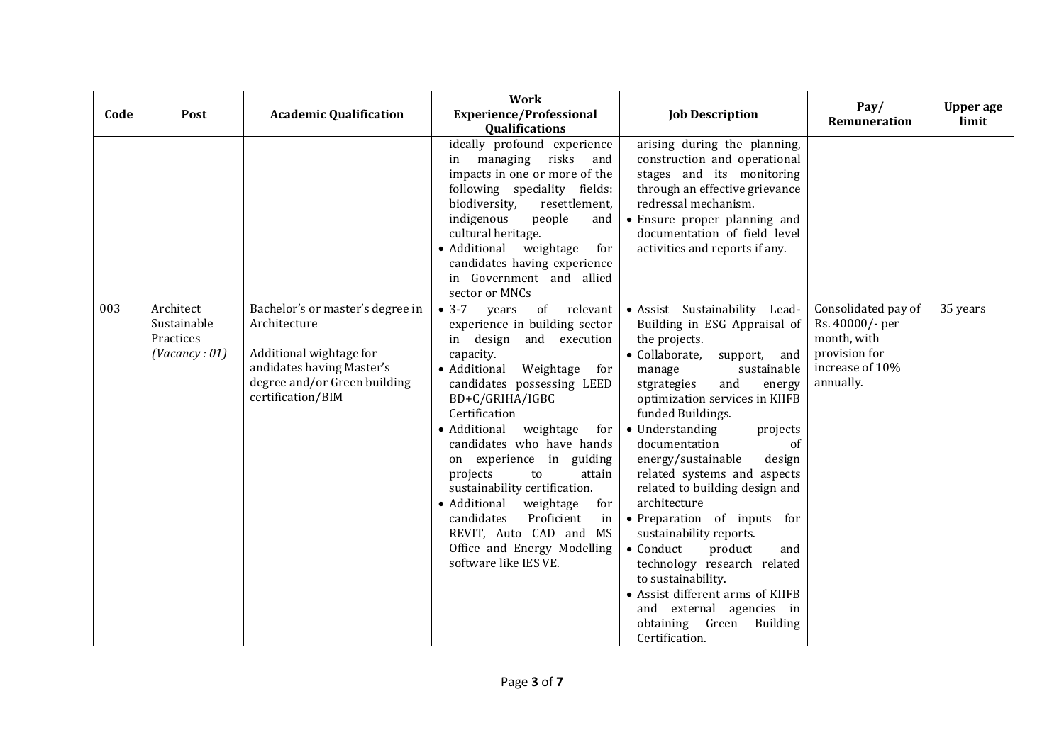| Code | Post                                                   | <b>Academic Qualification</b>                                                                                                                                 | <b>Work</b><br><b>Experience/Professional</b><br><b>Qualifications</b>                                                                                                                                                                                                                                                                                                                                                                                                                                                          | <b>Job Description</b>                                                                                                                                                                                                                                                                                                                                                                                                                                                                                                                                                                                                                                                    | Pay/<br>Remuneration                                                                                   | <b>Upper</b> age<br>limit |
|------|--------------------------------------------------------|---------------------------------------------------------------------------------------------------------------------------------------------------------------|---------------------------------------------------------------------------------------------------------------------------------------------------------------------------------------------------------------------------------------------------------------------------------------------------------------------------------------------------------------------------------------------------------------------------------------------------------------------------------------------------------------------------------|---------------------------------------------------------------------------------------------------------------------------------------------------------------------------------------------------------------------------------------------------------------------------------------------------------------------------------------------------------------------------------------------------------------------------------------------------------------------------------------------------------------------------------------------------------------------------------------------------------------------------------------------------------------------------|--------------------------------------------------------------------------------------------------------|---------------------------|
|      |                                                        |                                                                                                                                                               | ideally profound experience<br>in managing risks<br>and<br>impacts in one or more of the<br>following speciality fields:<br>biodiversity,<br>resettlement,<br>indigenous<br>people<br>and<br>cultural heritage.<br>• Additional<br>weightage<br>for<br>candidates having experience<br>in Government and allied<br>sector or MNCs                                                                                                                                                                                               | arising during the planning,<br>construction and operational<br>stages and its monitoring<br>through an effective grievance<br>redressal mechanism.<br>• Ensure proper planning and<br>documentation of field level<br>activities and reports if any.                                                                                                                                                                                                                                                                                                                                                                                                                     |                                                                                                        |                           |
| 003  | Architect<br>Sustainable<br>Practices<br>(Vacancy: 01) | Bachelor's or master's degree in<br>Architecture<br>Additional wightage for<br>andidates having Master's<br>degree and/or Green building<br>certification/BIM | $-3-7$<br>of relevant<br>years<br>experience in building sector<br>in design and execution<br>capacity.<br>• Additional<br>Weightage<br>for<br>candidates possessing LEED<br>BD+C/GRIHA/IGBC<br>Certification<br>• Additional<br>weightage<br>for<br>candidates who have hands<br>on experience in guiding<br>projects<br>to<br>attain<br>sustainability certification.<br>• Additional<br>weightage<br>for<br>Proficient<br>candidates<br>in<br>REVIT, Auto CAD and MS<br>Office and Energy Modelling<br>software like IES VE. | · Assist Sustainability Lead-<br>Building in ESG Appraisal of<br>the projects.<br>• Collaborate,<br>support,<br>and<br>sustainable<br>manage<br>stgrategies<br>and<br>energy<br>optimization services in KIIFB<br>funded Buildings.<br>• Understanding<br>projects<br>documentation<br>of<br>energy/sustainable<br>design<br>related systems and aspects<br>related to building design and<br>architecture<br>• Preparation of inputs for<br>sustainability reports.<br>• Conduct<br>product<br>and<br>technology research related<br>to sustainability.<br>• Assist different arms of KIIFB<br>and external agencies in<br>Green Building<br>obtaining<br>Certification. | Consolidated pay of<br>Rs. 40000/- per<br>month, with<br>provision for<br>increase of 10%<br>annually. | 35 years                  |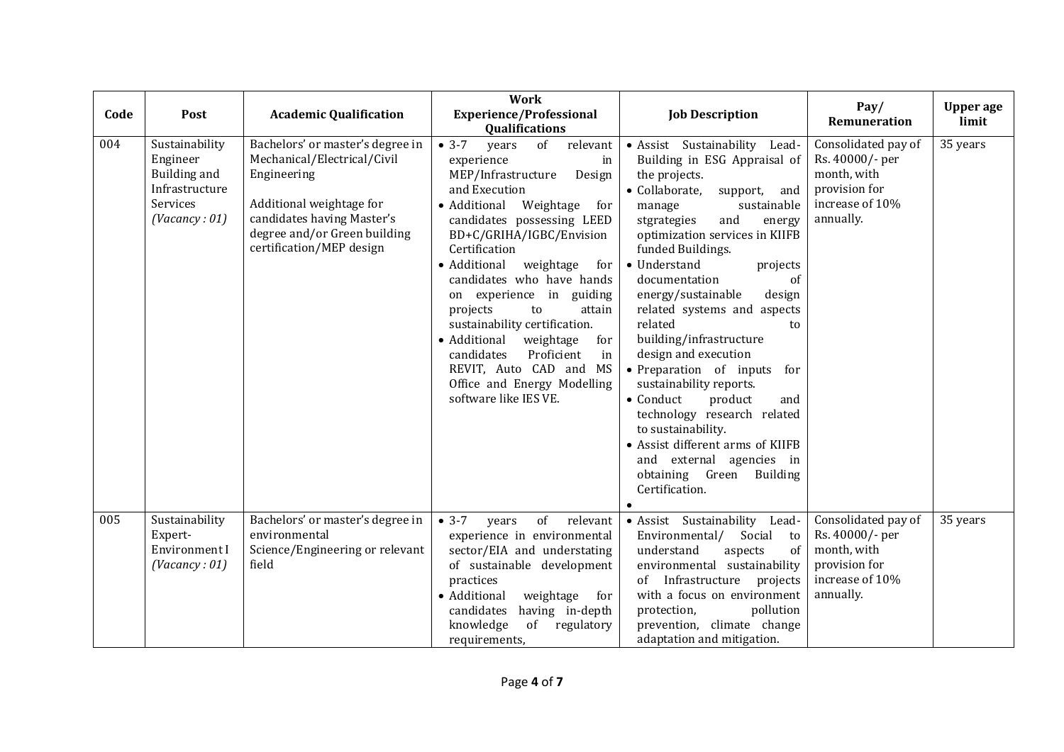| Code | Post                                                                                             | <b>Academic Qualification</b>                                                                                                                                                                        | Work<br><b>Experience/Professional</b><br>Qualifications                                                                                                                                                                                                                                                                                                                                                                                                                                                                                 | <b>Job Description</b>                                                                                                                                                                                                                                                                                                                                                                                                                                                                                                                                                                                                                                                                        | Pay/<br>Remuneration                                                                                   | <b>Upper</b> age<br>limit |
|------|--------------------------------------------------------------------------------------------------|------------------------------------------------------------------------------------------------------------------------------------------------------------------------------------------------------|------------------------------------------------------------------------------------------------------------------------------------------------------------------------------------------------------------------------------------------------------------------------------------------------------------------------------------------------------------------------------------------------------------------------------------------------------------------------------------------------------------------------------------------|-----------------------------------------------------------------------------------------------------------------------------------------------------------------------------------------------------------------------------------------------------------------------------------------------------------------------------------------------------------------------------------------------------------------------------------------------------------------------------------------------------------------------------------------------------------------------------------------------------------------------------------------------------------------------------------------------|--------------------------------------------------------------------------------------------------------|---------------------------|
| 004  | Sustainability<br>Engineer<br><b>Building and</b><br>Infrastructure<br>Services<br>(Vacancy: 01) | Bachelors' or master's degree in<br>Mechanical/Electrical/Civil<br>Engineering<br>Additional weightage for<br>candidates having Master's<br>degree and/or Green building<br>certification/MEP design | $• 3-7$<br>of<br>relevant<br>years<br>experience<br>in<br>MEP/Infrastructure<br>Design<br>and Execution<br>• Additional<br>Weightage<br>for<br>candidates possessing LEED<br>BD+C/GRIHA/IGBC/Envision<br>Certification<br>• Additional<br>weightage<br>for<br>candidates who have hands<br>on experience in guiding<br>projects<br>to<br>attain<br>sustainability certification.<br>• Additional<br>weightage<br>for<br>Proficient<br>candidates<br>in<br>REVIT, Auto CAD and MS<br>Office and Energy Modelling<br>software like IES VE. | · Assist Sustainability Lead-<br>Building in ESG Appraisal of<br>the projects.<br>· Collaborate,<br>support,<br>and<br>sustainable<br>manage<br>stgrategies<br>and<br>energy<br>optimization services in KIIFB<br>funded Buildings.<br>• Understand<br>projects<br>documentation<br>of<br>energy/sustainable<br>design<br>related systems and aspects<br>related<br>to<br>building/infrastructure<br>design and execution<br>• Preparation of inputs for<br>sustainability reports.<br>$\bullet$ Conduct<br>product<br>and<br>technology research related<br>to sustainability.<br>• Assist different arms of KIIFB<br>and external agencies in<br>obtaining Green Building<br>Certification. | Consolidated pay of<br>Rs. 40000/- per<br>month, with<br>provision for<br>increase of 10%<br>annually. | 35 years                  |
| 005  | Sustainability<br>Expert-<br>Environment I<br>(Vacancy: 01)                                      | Bachelors' or master's degree in<br>environmental<br>Science/Engineering or relevant<br>field                                                                                                        | $• 3-7$<br>of<br>relevant<br>years<br>experience in environmental<br>sector/EIA and understating<br>of sustainable development<br>practices<br>• Additional<br>weightage<br>for<br>candidates<br>having in-depth<br>of<br>knowledge<br>regulatory<br>requirements,                                                                                                                                                                                                                                                                       | • Assist Sustainability<br>Lead-<br>Social<br>Environmental/<br>to<br>understand<br>of<br>aspects<br>environmental sustainability<br>of Infrastructure projects<br>with a focus on environment<br>protection,<br>pollution<br>prevention, climate change<br>adaptation and mitigation.                                                                                                                                                                                                                                                                                                                                                                                                        | Consolidated pay of<br>Rs. 40000/- per<br>month, with<br>provision for<br>increase of 10%<br>annually. | 35 years                  |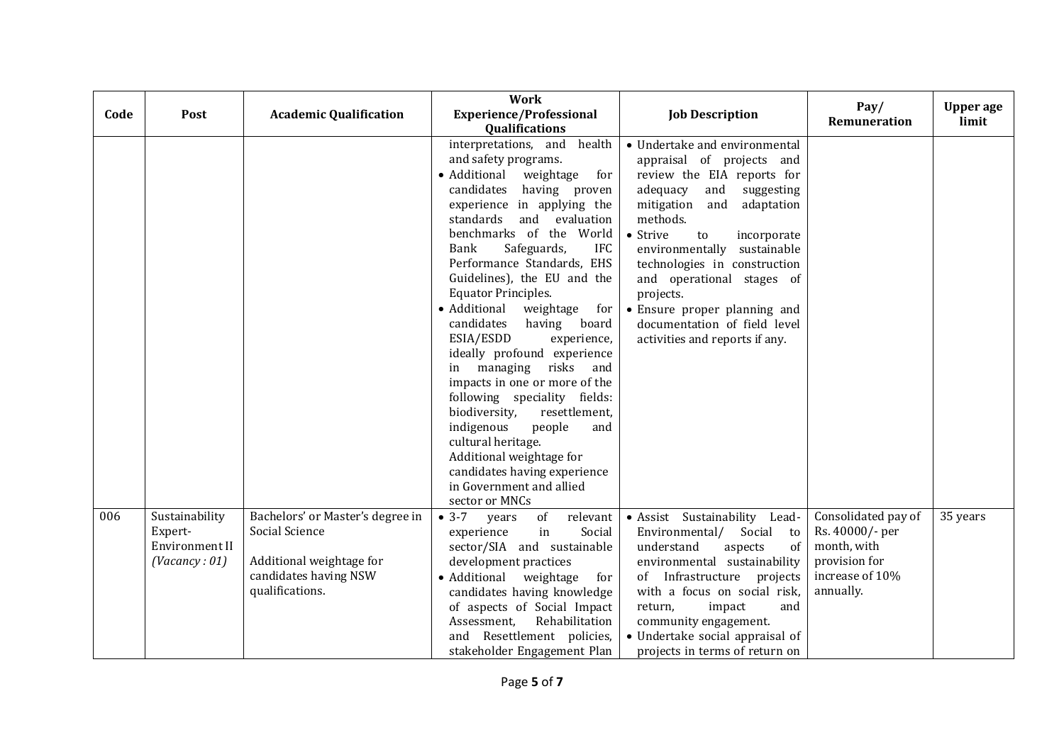| Code | Post                                                         | <b>Academic Qualification</b>                                                                                              | <b>Work</b><br><b>Experience/Professional</b><br>Qualifications                                                                                                                                                                                                                                                                                                                                                                                                                                                                                                                                                                                                                                                                                                               | <b>Job Description</b>                                                                                                                                                                                                                                                                                                                                                                                                          | Pay/<br>Remuneration                                                                                   | <b>Upper</b> age<br>limit |
|------|--------------------------------------------------------------|----------------------------------------------------------------------------------------------------------------------------|-------------------------------------------------------------------------------------------------------------------------------------------------------------------------------------------------------------------------------------------------------------------------------------------------------------------------------------------------------------------------------------------------------------------------------------------------------------------------------------------------------------------------------------------------------------------------------------------------------------------------------------------------------------------------------------------------------------------------------------------------------------------------------|---------------------------------------------------------------------------------------------------------------------------------------------------------------------------------------------------------------------------------------------------------------------------------------------------------------------------------------------------------------------------------------------------------------------------------|--------------------------------------------------------------------------------------------------------|---------------------------|
|      |                                                              |                                                                                                                            | health<br>interpretations, and<br>and safety programs.<br>• Additional<br>weightage<br>for<br>candidates<br>having proven<br>experience in applying the<br>standards<br>and<br>evaluation<br>benchmarks of the World<br>Bank<br>Safeguards,<br>IFC<br>Performance Standards, EHS<br>Guidelines), the EU and the<br><b>Equator Principles.</b><br>• Additional<br>weightage<br>for  <br>candidates<br>having<br>board<br>ESIA/ESDD<br>experience,<br>ideally profound experience<br>managing risks and<br>in<br>impacts in one or more of the<br>following speciality fields:<br>biodiversity,<br>resettlement,<br>indigenous<br>people<br>and<br>cultural heritage.<br>Additional weightage for<br>candidates having experience<br>in Government and allied<br>sector or MNCs | • Undertake and environmental<br>appraisal of projects and<br>review the EIA reports for<br>adequacy<br>suggesting<br>and<br>adaptation<br>mitigation<br>and<br>methods.<br>$\bullet$ Strive<br>incorporate<br>to<br>environmentally<br>sustainable<br>technologies in construction<br>and operational stages of<br>projects.<br>• Ensure proper planning and<br>documentation of field level<br>activities and reports if any. |                                                                                                        |                           |
| 006  | Sustainability<br>Expert-<br>Environment II<br>(Vacancy: 01) | Bachelors' or Master's degree in<br>Social Science<br>Additional weightage for<br>candidates having NSW<br>qualifications. | $• 3-7$<br>of<br>relevant<br>years<br>Social<br>experience<br>in<br>sector/SIA and sustainable<br>development practices<br>• Additional<br>weightage<br>for<br>candidates having knowledge<br>of aspects of Social Impact<br>Rehabilitation<br>Assessment,<br>Resettlement policies,<br>and<br>stakeholder Engagement Plan                                                                                                                                                                                                                                                                                                                                                                                                                                                    | · Assist Sustainability Lead-<br>Environmental/<br>Social to<br>understand<br>aspects<br>of<br>environmental sustainability<br>of Infrastructure projects<br>with a focus on social risk,<br>return,<br>impact<br>and<br>community engagement.<br>• Undertake social appraisal of<br>projects in terms of return on                                                                                                             | Consolidated pay of<br>Rs. 40000/- per<br>month, with<br>provision for<br>increase of 10%<br>annually. | 35 years                  |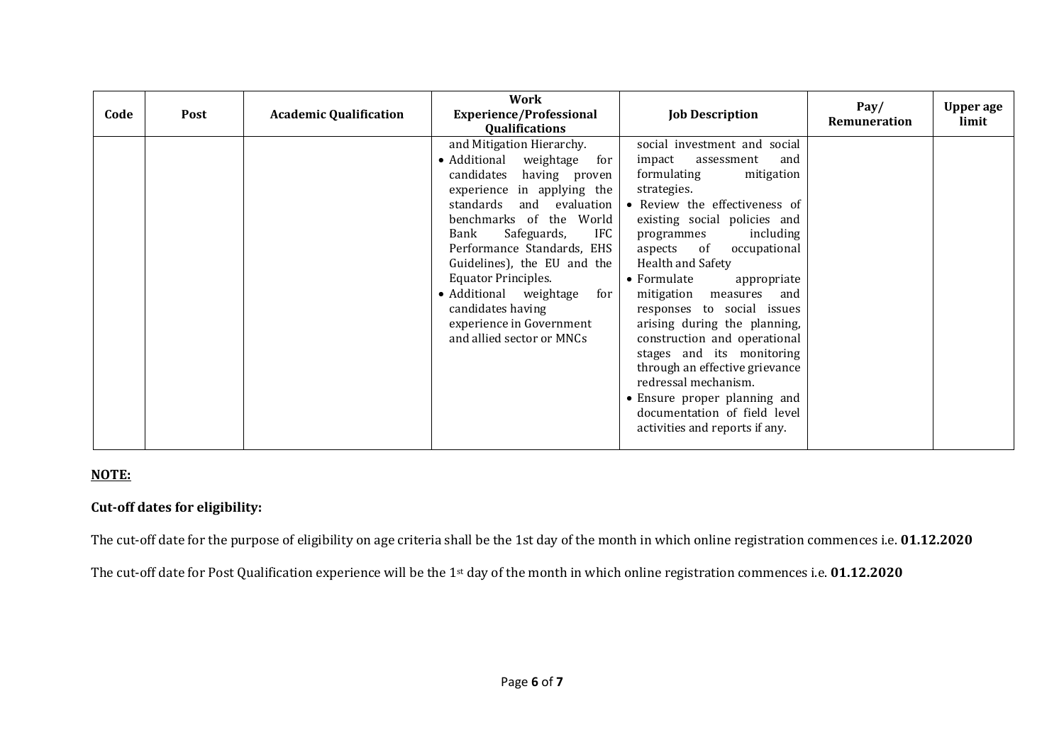| Code | <b>Post</b> | <b>Academic Qualification</b> | Work<br><b>Experience/Professional</b><br><b>Qualifications</b>                                                                                                                                                                                                                                                                                                                                                         | <b>Job Description</b>                                                                                                                                                                                                                                                                                                                                                                                                                                                                                                                                                                                    | Pay/<br>Remuneration | <b>Upper age</b><br>limit |
|------|-------------|-------------------------------|-------------------------------------------------------------------------------------------------------------------------------------------------------------------------------------------------------------------------------------------------------------------------------------------------------------------------------------------------------------------------------------------------------------------------|-----------------------------------------------------------------------------------------------------------------------------------------------------------------------------------------------------------------------------------------------------------------------------------------------------------------------------------------------------------------------------------------------------------------------------------------------------------------------------------------------------------------------------------------------------------------------------------------------------------|----------------------|---------------------------|
|      |             |                               | and Mitigation Hierarchy.<br>• Additional weightage for<br>candidates having proven<br>experience in applying the<br>standards<br>and evaluation<br>benchmarks of the World<br>Safeguards,<br><b>IFC</b><br>Bank<br>Performance Standards, EHS<br>Guidelines), the EU and the<br><b>Equator Principles.</b><br>• Additional weightage for<br>candidates having<br>experience in Government<br>and allied sector or MNCs | social investment and social<br>impact<br>assessment<br>and<br>formulating<br>mitigation<br>strategies.<br>• Review the effectiveness of<br>existing social policies and<br>including<br>programmes<br>occupational<br>aspects of<br>Health and Safety<br>• Formulate<br>appropriate<br>mitigation measures<br>and<br>responses to social issues<br>arising during the planning,<br>construction and operational<br>stages and its monitoring<br>through an effective grievance<br>redressal mechanism.<br>• Ensure proper planning and<br>documentation of field level<br>activities and reports if any. |                      |                           |

### **NOTE:**

#### **Cut-off dates for eligibility:**

The cut-off date for the purpose of eligibility on age criteria shall be the 1st day of the month in which online registration commences i.e. **01.12.2020**

The cut-off date for Post Qualification experience will be the 1st day of the month in which online registration commences i.e. **01.12.2020**